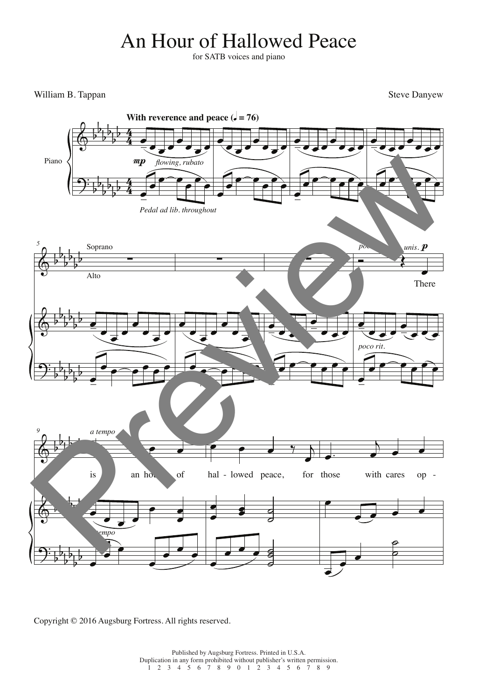## An Hour of Hallowed Peace

for SATB voices and piano

William B. Tappan Steve Danyew Steve Danyew Steve Danyew Steve Danyew Steve Danyew Steve Danyew Steve Danyew Steve Danyew Steve Danyew Steve Danyew Steve Danyew Steve Danyew Steve Danyew Steve Danyew Steve Danyew Steve Dan



Copyright © 2016 Augsburg Fortress. All rights reserved.